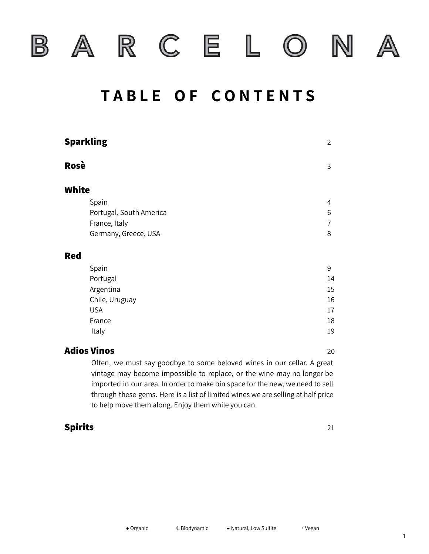



R C E L

N

 $\circledcirc$ 



## **T A B L E O F C O N T E N T S**

|              | <b>Sparkling</b>        | $\overline{2}$ |
|--------------|-------------------------|----------------|
| Rosè         |                         | 3              |
| <b>White</b> |                         |                |
|              | Spain                   | 4              |
|              | Portugal, South America | 6              |
|              | France, Italy           | 7              |
|              | Germany, Greece, USA    | 8              |
| <b>Red</b>   |                         |                |
|              | Spain                   | 9              |
|              | Portugal                | 14             |
|              | Argentina               | 15             |
|              | Chile, Uruguay          | 16             |
|              | <b>USA</b>              | 17             |
|              | France                  | 18             |
|              | Italy                   | 19             |
|              |                         |                |

#### **Adios Vinos** 20

Often, we must say goodbye to some beloved wines in our cellar. A great vintage may become impossible to replace, or the wine may no longer be imported in our area. In order to make bin space for the new, we need to sell through these gems. Here is a list of limited wines we are selling at half price to help move them along. Enjoy them while you can.

#### **Spirits** 21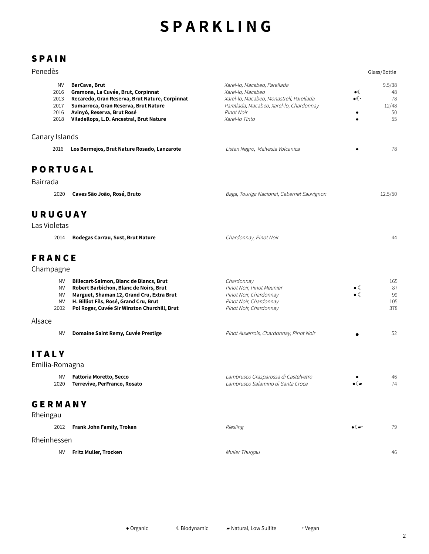## **S P A R K L I N G**

## **S P A I N**

|  | Penedès |  |
|--|---------|--|
|  |         |  |

| Penedès                                    |                                                                                                                                                                                                                          |                                                                                                                                                                           |                                                    | Glass/Bottle                            |
|--------------------------------------------|--------------------------------------------------------------------------------------------------------------------------------------------------------------------------------------------------------------------------|---------------------------------------------------------------------------------------------------------------------------------------------------------------------------|----------------------------------------------------|-----------------------------------------|
| ΝV<br>2016<br>2013<br>2017<br>2016<br>2018 | BarCava, Brut<br>Gramona, La Cuvée, Brut, Corpinnat<br>Recaredo, Gran Reserva, Brut Nature, Corpinnat<br>Sumarroca, Gran Reserva, Brut Nature<br>Avinyó, Reserva, Brut Rosé<br>Viladellops, L.D. Ancestral, Brut Nature  | Xarel-lo, Macabeo, Parellada<br>Xarel-lo, Macabeo<br>Xarel-lo, Macabeo, Monastrell, Parellada<br>Parellada, Macabeo, Xarel-lo, Chardonnay<br>Pinot Noir<br>Xarel-lo Tinto | $\bullet$<br>$\bullet$ ( $\cdot$<br>٠<br>$\bullet$ | 9.5/38<br>48<br>78<br>12/48<br>50<br>55 |
| Canary Islands                             |                                                                                                                                                                                                                          |                                                                                                                                                                           |                                                    |                                         |
| 2016                                       | Los Bermejos, Brut Nature Rosado, Lanzarote                                                                                                                                                                              | Listan Negro, Malvasia Volcanica                                                                                                                                          |                                                    | 78                                      |
| <b>PORTUGAL</b>                            |                                                                                                                                                                                                                          |                                                                                                                                                                           |                                                    |                                         |
| Bairrada                                   |                                                                                                                                                                                                                          |                                                                                                                                                                           |                                                    |                                         |
| 2020                                       | Caves São João, Rosé, Bruto                                                                                                                                                                                              | Baga, Touriga Nacional, Cabernet Sauvignon                                                                                                                                |                                                    | 12.5/50                                 |
| URUGUAY<br>Las Violetas                    |                                                                                                                                                                                                                          |                                                                                                                                                                           |                                                    |                                         |
| 2014                                       | <b>Bodegas Carrau, Sust, Brut Nature</b>                                                                                                                                                                                 | Chardonnay, Pinot Noir                                                                                                                                                    |                                                    | 44                                      |
| <b>FRANCE</b><br>Champagne                 |                                                                                                                                                                                                                          |                                                                                                                                                                           |                                                    |                                         |
| NV.<br>NV<br><b>NV</b><br>NV<br>2002       | Billecart-Salmon, Blanc de Blancs, Brut<br>Robert Barbichon, Blanc de Noirs, Brut<br>Marguet, Shaman 12, Grand Cru, Extra Brut<br>H. Billiot Fils, Rosé, Grand Cru, Brut<br>Pol Roger, Cuvée Sir Winston Churchill, Brut | Chardonnay<br>Pinot Noir, Pinot Meunier<br>Pinot Noir, Chardonnay<br>Pinot Noir, Chardonnay<br>Pinot Noir, Chardonnay                                                     | $\bullet$ (<br>$\bullet$ (                         | 165<br>87<br>99<br>105<br>378           |
| Alsace                                     |                                                                                                                                                                                                                          |                                                                                                                                                                           |                                                    |                                         |
| <b>NV</b>                                  | Domaine Saint Remy, Cuvée Prestige                                                                                                                                                                                       | Pinot Auxerrois, Chardonnay, Pinot Noir                                                                                                                                   |                                                    | 52                                      |
| <b>ITALY</b><br>Emilia-Romagna             |                                                                                                                                                                                                                          |                                                                                                                                                                           |                                                    |                                         |
| ΝV<br>2020                                 | Fattoria Moretto, Secco<br>Terrevive, PerFranco, Rosato                                                                                                                                                                  | Lambrusco Grasparossa di Castelvetro<br>Lambrusco Salamino di Santa Croce                                                                                                 | $\bullet$ ( $\blacktriangleright$                  | 46<br>74                                |

#### **G E R M A N Y** Rheingau

| Rheingau    |                           |                 |                           |    |  |  |
|-------------|---------------------------|-----------------|---------------------------|----|--|--|
| 2012        | Frank John Family, Troken | <b>Riesling</b> | $\bullet$ ( $\rightarrow$ | 79 |  |  |
| Rheinhessen |                           |                 |                           |    |  |  |
| <b>NV</b>   | Fritz Muller, Trocken     | Muller Thurgau  |                           | 46 |  |  |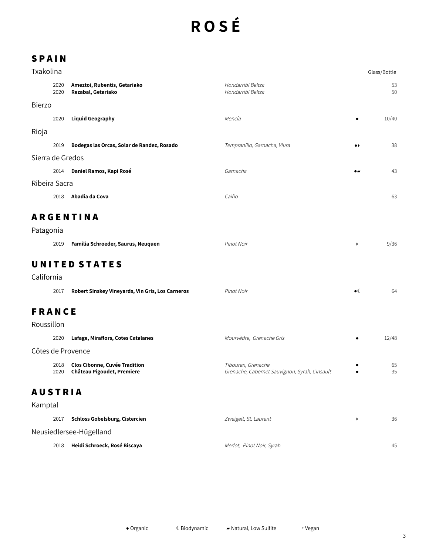# **R O S É**

| Txakolina        |              |                                                             |                                                                     |                       | Glass/Bottle |
|------------------|--------------|-------------------------------------------------------------|---------------------------------------------------------------------|-----------------------|--------------|
|                  | 2020<br>2020 | Ameztoi, Rubentis, Getariako<br>Rezabal, Getariako          | Hondarribi Beltza<br>Hondarribi Beltza                              |                       | 53<br>50     |
| <b>Bierzo</b>    |              |                                                             |                                                                     |                       |              |
|                  | 2020         | <b>Liquid Geography</b>                                     | Mencía                                                              |                       | 10/40        |
| Rioja            |              |                                                             |                                                                     |                       |              |
|                  | 2019         | Bodegas las Orcas, Solar de Randez, Rosado                  | Tempranillo, Garnacha, Viura                                        | $\bullet\bullet$      | 38           |
| Sierra de Gredos |              |                                                             |                                                                     |                       |              |
|                  | 2014         | Daniel Ramos, Kapi Rosé                                     | Garnacha                                                            | $\bullet$             | 43           |
| Ribeira Sacra    |              |                                                             |                                                                     |                       |              |
|                  | 2018         | Abadia da Cova                                              | Caiño                                                               |                       | 63           |
|                  |              | <b>ARGENTINA</b>                                            |                                                                     |                       |              |
| Patagonia        |              |                                                             |                                                                     |                       |              |
|                  | 2019         | Familia Schroeder, Saurus, Neuquen                          | Pinot Noir                                                          | $\blacktriangleright$ | 9/36         |
|                  |              | <b>UNITED STATES</b>                                        |                                                                     |                       |              |
| California       |              |                                                             |                                                                     |                       |              |
|                  | 2017         | Robert Sinskey Vineyards, Vin Gris, Los Carneros            | Pinot Noir                                                          | $\bullet$             | 64           |
| <b>FRANCE</b>    |              |                                                             |                                                                     |                       |              |
| Roussillon       |              |                                                             |                                                                     |                       |              |
|                  | 2020         | Lafage, Miraflors, Cotes Catalanes                          | Mourvèdre, Grenache Gris                                            |                       | 12/48        |
|                  |              | Côtes de Provence                                           |                                                                     |                       |              |
|                  | 2018<br>2020 | Clos Cibonne, Cuvée Tradition<br>Château Pigoudet, Premiere | Tibouren, Grenache<br>Grenache, Cabernet Sauvignon, Syrah, Cinsault |                       | 65<br>35     |
| <b>AUSTRIA</b>   |              |                                                             |                                                                     |                       |              |
| Kamptal          |              |                                                             |                                                                     |                       |              |

| 2017                    | Schloss Gobelsburg, Cistercien | Zweigelt, St. Laurent     |  | 36 |  |  |
|-------------------------|--------------------------------|---------------------------|--|----|--|--|
| Neusiedlersee-Hügelland |                                |                           |  |    |  |  |
| 2018                    | Heidi Schroeck, Rosé Biscaya   | Merlot, Pinot Noir, Syrah |  | 45 |  |  |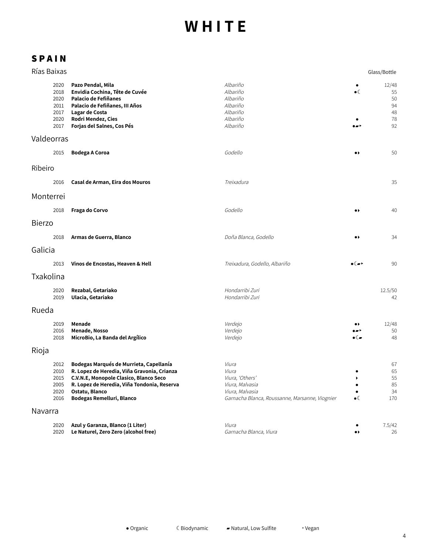| Rías Baixas                                          |                                                                                                                                                                                                                                |                                                                                                                           |                                | Glass/Bottle                              |
|------------------------------------------------------|--------------------------------------------------------------------------------------------------------------------------------------------------------------------------------------------------------------------------------|---------------------------------------------------------------------------------------------------------------------------|--------------------------------|-------------------------------------------|
| 2020<br>2018<br>2020<br>2011<br>2017<br>2020<br>2017 | Pazo Pendal, Mila<br>Envidia Cochina, Tête de Cuvée<br>Palacio de Fefiñanes<br>Palacio de Fefiñanes, III Años<br>Lagar de Costa<br>Rodri Mendez, Cies<br>Forjas del Salnes, Cos Pés                                            | Albariño<br>Albariño<br>Albariño<br>Albariño<br>Albariño<br>Albariño<br>Albariño                                          | ٠<br>$\bullet$ (               | 12/48<br>55<br>50<br>94<br>48<br>78<br>92 |
| Valdeorras                                           |                                                                                                                                                                                                                                |                                                                                                                           |                                |                                           |
| 2015                                                 | <b>Bodega A Coroa</b>                                                                                                                                                                                                          | Godello                                                                                                                   | $\bullet\,\flat$               | 50                                        |
| Ribeiro                                              |                                                                                                                                                                                                                                |                                                                                                                           |                                |                                           |
| 2016                                                 | Casal de Arman, Eira dos Mouros                                                                                                                                                                                                | Treixadura                                                                                                                |                                | 35                                        |
| Monterrei                                            |                                                                                                                                                                                                                                |                                                                                                                           |                                |                                           |
| 2018                                                 | Fraga do Corvo                                                                                                                                                                                                                 | Godello                                                                                                                   | $\bullet\$                     | 40                                        |
| <b>Bierzo</b>                                        |                                                                                                                                                                                                                                |                                                                                                                           |                                |                                           |
| 2018                                                 | Armas de Guerra, Blanco                                                                                                                                                                                                        | Doña Blanca, Godello                                                                                                      | $\bullet\$                     | 34                                        |
| Galicia                                              |                                                                                                                                                                                                                                |                                                                                                                           |                                |                                           |
| 2013                                                 | Vinos de Encostas, Heaven & Hell                                                                                                                                                                                               | Treixadura, Godello, Albariño                                                                                             | ∙€∼                            | 90                                        |
| Txakolina                                            |                                                                                                                                                                                                                                |                                                                                                                           |                                |                                           |
| 2020<br>2019                                         | Rezabal, Getariako<br>Ulacia, Getariako                                                                                                                                                                                        | Hondarribi Zuri<br>Hondarribi Zuri                                                                                        |                                | 12.5/50<br>42                             |
| Rueda                                                |                                                                                                                                                                                                                                |                                                                                                                           |                                |                                           |
| 2019<br>2016<br>2018                                 | Menade<br>Menade, Nosso<br>MicroBio, La Banda del Argílico                                                                                                                                                                     | Verdejo<br>Verdejo<br>Verdejo                                                                                             | .,<br>$\bullet$ ( $\bullet$    | 12/48<br>50<br>48                         |
| Rioja                                                |                                                                                                                                                                                                                                |                                                                                                                           |                                |                                           |
| 2012<br>2010<br>2015<br>2005<br>2020<br>2016         | Bodegas Marqués de Murrieta, Capellanía<br>R. Lopez de Heredia, Viña Gravonia, Crianza<br>C.V.N.E, Monopole Clasico, Blanco Seco<br>R. Lopez de Heredia, Viña Tondonia, Reserva<br>Ostatu, Blanco<br>Bodegas Remelluri, Blanco | Viura<br>Viura<br>Viura, 'Others'<br>Viura, Malvasia<br>Viura, Malvasia<br>Garnacha Blanca, Roussanne, Marsanne, Viognier | ٠<br>٠<br>$\bullet \mathbb{C}$ | 67<br>65<br>55<br>85<br>34<br>170         |
| Navarra                                              |                                                                                                                                                                                                                                |                                                                                                                           |                                |                                           |
| 2020<br>2020                                         | Azul y Garanza, Blanco (1 Liter)<br>Le Naturel, Zero Zero (alcohol free)                                                                                                                                                       | Viura<br>Garnacha Blanca, Viura                                                                                           | $\bullet\blacktriangleright$   | 7.5/42<br>26                              |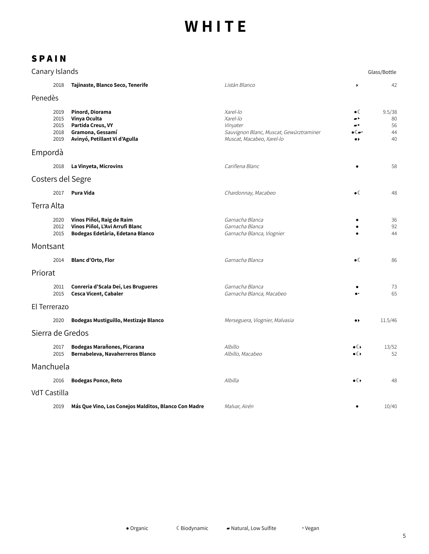| Canary Islands    |                                      |                                                                                                           |                                                                                                          |                                                     | Glass/Bottle                   |
|-------------------|--------------------------------------|-----------------------------------------------------------------------------------------------------------|----------------------------------------------------------------------------------------------------------|-----------------------------------------------------|--------------------------------|
|                   | 2018                                 | Tajinaste, Blanco Seco, Tenerife                                                                          | Listàn Blanco                                                                                            |                                                     | 42                             |
| Penedès           |                                      |                                                                                                           |                                                                                                          |                                                     |                                |
|                   | 2019<br>2015<br>2015<br>2018<br>2019 | Pinord, Diorama<br>Vinya Oculta<br>Partida Creus, VY<br>Gramona, Gessamí<br>Avinyó, Petillant Vi d'Agulla | Xarel-lo<br>Xarel-lo<br>Vinyater<br>Sauvignon Blanc, Muscat, Gewürztraminer<br>Muscat, Macabeo, Xarel-lo | $\bullet$ (<br>∙∝ ∢<br>$\bullet\blacktriangleright$ | 9.5/38<br>80<br>56<br>44<br>40 |
| Empordà           |                                      |                                                                                                           |                                                                                                          |                                                     |                                |
|                   | 2018                                 | La Vinyeta, Microvins                                                                                     | Cariñena Blanc                                                                                           |                                                     | 58                             |
| Costers del Segre |                                      |                                                                                                           |                                                                                                          |                                                     |                                |
|                   | 2017                                 | Pura Vida                                                                                                 | Chardonnay, Macabeo                                                                                      | $\bullet$                                           | 48                             |
| Terra Alta        |                                      |                                                                                                           |                                                                                                          |                                                     |                                |
|                   | 2020<br>2012<br>2015                 | Vinos Piñol, Raig de Raim<br>Vinos Piñol, L'Avi Arrufi Blanc<br>Bodegas Edetària, Edetana Blanco          | Garnacha Blanca<br>Garnacha Blanca<br>Garnacha Blanca, Viognier                                          |                                                     | 36<br>92<br>44                 |
| Montsant          |                                      |                                                                                                           |                                                                                                          |                                                     |                                |
|                   | 2014                                 | <b>Blanc d'Orto, Flor</b>                                                                                 | Garnacha Blanca                                                                                          | $\bullet$ (                                         | 86                             |
| Priorat           |                                      |                                                                                                           |                                                                                                          |                                                     |                                |
|                   | 2011<br>2015                         | Conreria d'Scala Dei, Les Brugueres<br>Cesca Vicent, Cabaler                                              | Garnacha Blanca<br>Garnacha Blanca, Macabeo                                                              |                                                     | 73<br>65                       |
| El Terrerazo      |                                      |                                                                                                           |                                                                                                          |                                                     |                                |
|                   | 2020                                 | Bodegas Mustiguillo, Mestizaje Blanco                                                                     | Merseguera, Viognier, Malvasia                                                                           | $\bullet\$                                          | 11.5/46                        |
| Sierra de Gredos  |                                      |                                                                                                           |                                                                                                          |                                                     |                                |
|                   | 2017<br>2015                         | Bodegas Marañones, Picarana<br>Bernabeleva, Navaherreros Blanco                                           | Albillo<br>Albillo, Macabeo                                                                              | $\bullet$ ( )<br>$\bullet$                          | 13/52<br>52                    |
| Manchuela         |                                      |                                                                                                           |                                                                                                          |                                                     |                                |
|                   | 2016                                 | <b>Bodegas Ponce, Reto</b>                                                                                | Albilla                                                                                                  | $\bullet$ ( )                                       | 48                             |
| VdT Castilla      |                                      |                                                                                                           |                                                                                                          |                                                     |                                |
|                   | 2019                                 | Más Que Vino, Los Conejos Malditos, Blanco Con Madre                                                      | Malvar, Airén                                                                                            |                                                     | 10/40                          |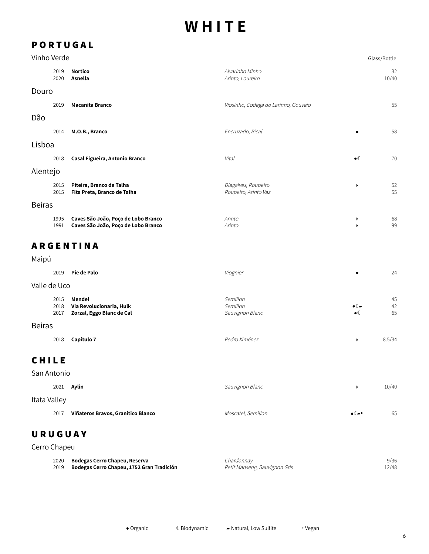## **P O R T U G A L**

|               | Vinho Verde<br>Glass/Bottle |                                                                            |                                             |                                                  |                |  |
|---------------|-----------------------------|----------------------------------------------------------------------------|---------------------------------------------|--------------------------------------------------|----------------|--|
|               | 2019<br>2020                | <b>Nortico</b><br>Asnella                                                  | Alvarinho Minho<br>Arinto, Loureiro         |                                                  | 32<br>10/40    |  |
| Douro         |                             |                                                                            |                                             |                                                  |                |  |
|               | 2019                        | <b>Macanita Branco</b>                                                     | Viosinho, Codega do Larinho, Gouveio        |                                                  | 55             |  |
| Dão           |                             |                                                                            |                                             |                                                  |                |  |
|               | 2014                        | M.O.B., Branco                                                             | Encruzado, Bical                            | ٠                                                | 58             |  |
| Lisboa        |                             |                                                                            |                                             |                                                  |                |  |
|               | 2018                        | Casal Figueira, Antonio Branco                                             | Vital                                       | $\bullet$                                        | 70             |  |
| Alentejo      |                             |                                                                            |                                             |                                                  |                |  |
|               | 2015<br>2015                | Piteira, Branco de Talha<br>Fita Preta, Branco de Talha                    | Diagalves, Roupeiro<br>Roupeiro, Arinto Vaz | ▶                                                | 52<br>55       |  |
| <b>Beiras</b> |                             |                                                                            |                                             |                                                  |                |  |
|               | 1995<br>1991                | Caves São João, Poço de Lobo Branco<br>Caves São João, Poço de Lobo Branco | Arinto<br>Arinto                            | ▶<br>ь                                           | 68<br>99       |  |
|               |                             | <b>ARGENTINA</b>                                                           |                                             |                                                  |                |  |
| Maipú         |                             |                                                                            |                                             |                                                  |                |  |
|               | 2019                        | Pie de Palo                                                                | Viognier                                    |                                                  | 24             |  |
| Valle de Uco  |                             |                                                                            |                                             |                                                  |                |  |
|               | 2015<br>2018<br>2017        | Mendel<br>Via Revolucionaria, Hulk<br>Zorzal, Eggo Blanc de Cal            | Semillon<br>Semillon<br>Sauvignon Blanc     | $\bullet$ ( $\blacktriangleright$<br>$\bullet$ ( | 45<br>42<br>65 |  |
| <b>Beiras</b> |                             |                                                                            |                                             |                                                  |                |  |
|               | 2018                        | Capítulo 7                                                                 | Pedro Ximénez                               | ▶                                                | 8.5/34         |  |
| <b>CHILE</b>  |                             |                                                                            |                                             |                                                  |                |  |
| San Antonio   |                             |                                                                            |                                             |                                                  |                |  |
|               | 2021                        | Aylin                                                                      | Sauvignon Blanc                             | ٠                                                | 10/40          |  |
| Itata Valley  |                             |                                                                            |                                             |                                                  |                |  |
|               | 2017                        | Viñateros Bravos, Granítico Blanco                                         | Moscatel, Semillon                          | $\bullet$ ( $\bullet$ )                          | 65             |  |
| URUGUAY       |                             |                                                                            |                                             |                                                  |                |  |
| Cerro Chapeu  |                             |                                                                            |                                             |                                                  |                |  |

| 2020 Bodegas Cerro Chapeu, Reserva             | Chardonnav                    | 9/36  |
|------------------------------------------------|-------------------------------|-------|
| 2019 Bodegas Cerro Chapeu, 1752 Gran Tradición | Petit Manseng, Sauvignon Gris | 12/48 |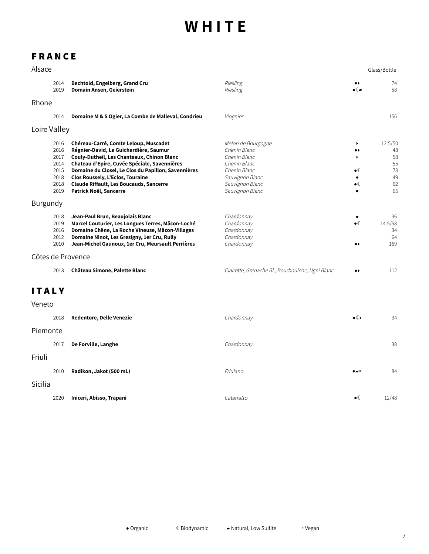## **F R A N C E**

| Alsace       |                                                              |                                                                                                                                                                                                                                                                                                                                                      |                                                                                                                                             |                                                                                                               | Glass/Bottle                                      |
|--------------|--------------------------------------------------------------|------------------------------------------------------------------------------------------------------------------------------------------------------------------------------------------------------------------------------------------------------------------------------------------------------------------------------------------------------|---------------------------------------------------------------------------------------------------------------------------------------------|---------------------------------------------------------------------------------------------------------------|---------------------------------------------------|
|              | 2014<br>2019                                                 | Bechtold, Engelberg, Grand Cru<br>Domain Ansen, Geierstein                                                                                                                                                                                                                                                                                           | Riesling<br>Riesling                                                                                                                        | $\bullet\bullet$<br>$\bullet$ ( $\blacksquare$                                                                | 74<br>58                                          |
| Rhone        |                                                              |                                                                                                                                                                                                                                                                                                                                                      |                                                                                                                                             |                                                                                                               |                                                   |
|              | 2014                                                         | Domaine M & S Ogier, La Combe de Malleval, Condrieu                                                                                                                                                                                                                                                                                                  | Viognier                                                                                                                                    |                                                                                                               | 156                                               |
|              | Loire Valley                                                 |                                                                                                                                                                                                                                                                                                                                                      |                                                                                                                                             |                                                                                                               |                                                   |
|              | 2016<br>2016<br>2017<br>2014<br>2015<br>2018<br>2018<br>2019 | Chéreau-Carré, Comte Leloup, Muscadet<br>Régnier-David, La Guichardière, Saumur<br>Couly-Dutheil, Les Chanteaux, Chinon Blanc<br>Chateau d'Epire, Cuvée Spéciale, Savennières<br>Domaine du Closel, Le Clos du Papillon, Savennières<br>Clos Roussely, L'Eclos, Touraine<br><b>Claude Riffault, Les Boucauds, Sancerre</b><br>Patrick Noël, Sancerre | Melon de Bourgogne<br>Chenin Blanc<br>Chenin Blanc<br>Chenin Blanc<br>Chenin Blanc<br>Sauvignon Blanc<br>Sauvignon Blanc<br>Sauvignon Blanc | $\blacktriangleright$<br>$\bullet\,\flat$<br>$\blacktriangleright$<br>$\bullet$ (<br>$\bullet$<br>$\bullet$ ( | 12.5/50<br>48<br>58<br>55<br>78<br>49<br>62<br>65 |
| Burgundy     |                                                              |                                                                                                                                                                                                                                                                                                                                                      |                                                                                                                                             |                                                                                                               |                                                   |
|              | 2018<br>2019<br>2016<br>2012<br>2010                         | Jean-Paul Brun, Beaujolais Blanc<br>Marcel Couturier, Les Longues Terres, Mâcon-Loché<br>Domaine Chêne, La Roche Vineuse, Mâcon-Villages<br>Domaine Ninot, Les Gresigny, 1er Cru, Rully<br>Jean-Michel Gaunoux, 1er Cru, Meursault Perrières                                                                                                         | Chardonnay<br>Chardonnay<br>Chardonnay<br>Chardonnay<br>Chardonnay                                                                          | $\bullet$<br>$\bullet$ (<br>$\bullet\blacktriangleright$                                                      | 36<br>14.5/58<br>34<br>64<br>169                  |
|              |                                                              | Côtes de Provence                                                                                                                                                                                                                                                                                                                                    |                                                                                                                                             |                                                                                                               |                                                   |
|              | 2013                                                         | Château Simone, Palette Blanc                                                                                                                                                                                                                                                                                                                        | Clairette, Grenache Bl., Bourboulenc, Ugni Blanc                                                                                            | $\bullet\,\flat$                                                                                              | 112                                               |
| <b>ITALY</b> |                                                              |                                                                                                                                                                                                                                                                                                                                                      |                                                                                                                                             |                                                                                                               |                                                   |
| Veneto       |                                                              |                                                                                                                                                                                                                                                                                                                                                      |                                                                                                                                             |                                                                                                               |                                                   |
|              | 2018                                                         | <b>Redentore, Delle Venezie</b>                                                                                                                                                                                                                                                                                                                      | Chardonnay                                                                                                                                  | $\bullet$ ( )                                                                                                 | 34                                                |
| Piemonte     |                                                              |                                                                                                                                                                                                                                                                                                                                                      |                                                                                                                                             |                                                                                                               |                                                   |
|              | 2017                                                         | De Forville, Langhe                                                                                                                                                                                                                                                                                                                                  | Chardonnay                                                                                                                                  |                                                                                                               | 38                                                |
| Friuli       |                                                              |                                                                                                                                                                                                                                                                                                                                                      |                                                                                                                                             |                                                                                                               |                                                   |
|              | 2010                                                         | Radikon, Jakot (500 mL)                                                                                                                                                                                                                                                                                                                              | Friulano                                                                                                                                    | . .                                                                                                           | 84                                                |
| Sicilia      |                                                              |                                                                                                                                                                                                                                                                                                                                                      |                                                                                                                                             |                                                                                                               |                                                   |
|              | 2020                                                         | Iniceri, Abisso, Trapani                                                                                                                                                                                                                                                                                                                             | Catarratto                                                                                                                                  | $\bullet$ (                                                                                                   | 12/48                                             |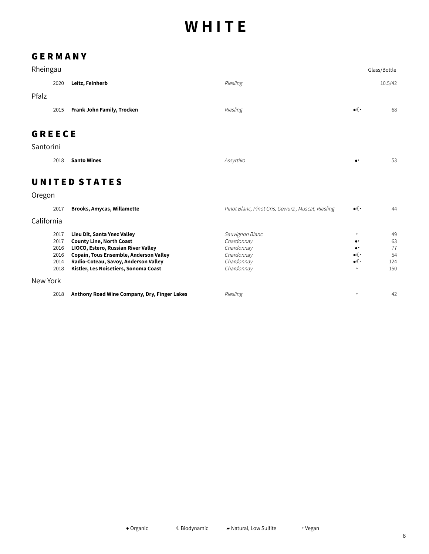#### **G E R M A N Y**

| Rheingau      |      |                            |                                                    |                                      | Glass/Bottle |
|---------------|------|----------------------------|----------------------------------------------------|--------------------------------------|--------------|
|               | 2020 | Leitz, Feinherb            | Riesling                                           |                                      | 10.5/42      |
| Pfalz         |      |                            |                                                    |                                      |              |
|               | 2015 | Frank John Family, Trocken | Riesling                                           | $\bullet$ ( $\overline{\phantom{a}}$ | 68           |
|               |      |                            |                                                    |                                      |              |
| <b>GREECE</b> |      |                            |                                                    |                                      |              |
| Santorini     |      |                            |                                                    |                                      |              |
|               | 2018 | <b>Santo Wines</b>         | Assyrtiko                                          | $\bullet^{\star}$                    | 53           |
|               |      | <b>UNITED STATES</b>       |                                                    |                                      |              |
|               |      |                            |                                                    |                                      |              |
| Oregon        |      |                            |                                                    |                                      |              |
|               | 2017 | Brooks, Amycas, Willamette | Pinot Blanc, Pinot Gris, Gewurz., Muscat, Riesling | $\bullet$ ( $\cdot$                  | 44           |
| California    |      |                            |                                                    |                                      |              |
|               |      |                            |                                                    |                                      |              |

| 2017     | Lieu Dit, Santa Ynez Valley                   | Sauvignon Blanc |                     | 49  |
|----------|-----------------------------------------------|-----------------|---------------------|-----|
| 2017     | <b>County Line, North Coast</b>               | Chardonnay      | $\bullet\text{-}$   | 63  |
| 2016     | LIOCO, Estero, Russian River Valley           | Chardonnay      | $\bullet$           | 77  |
| 2016     | <b>Copain, Tous Ensemble, Anderson Valley</b> | Chardonnay      | $\bullet$ ( $\cdot$ | .54 |
| 2014     | Radio-Coteau, Savoy, Anderson Valley          | Chardonnay      | $\bullet$ ( $\cdot$ | 124 |
| 2018     | Kistler, Les Noisetiers, Sonoma Coast         | Chardonnay      |                     | 150 |
| New York |                                               |                 |                     |     |
| 2018     | Anthony Road Wine Company, Dry, Finger Lakes  | Riesling        |                     | 42  |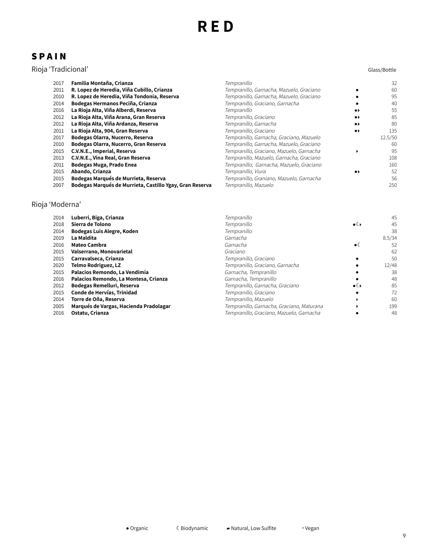## **S P A I N**

#### Rioja 'Tradicional' Glass/Bottle

| Glass/Bottle |  |
|--------------|--|
|--------------|--|

| 2017 | Familia Montaña, Crianza                                 | Tempranillo                              |                              | 32      |
|------|----------------------------------------------------------|------------------------------------------|------------------------------|---------|
| 2011 | R. Lopez de Heredia, Viña Cubillo, Crianza               | Tempranillo, Garnacha, Mazuelo, Graciano |                              | 60      |
| 2010 | R. Lopez de Heredia, Viña Tondonia, Reserva              | Tempranillo, Garnacha, Mazuelo, Graciano |                              | 95      |
| 2014 | Bodegas Hermanos Peciña, Crianza                         | Tempranillo, Graciano, Garnacha          |                              | 40      |
| 2016 | La Rioja Alta, Viña Alberdi, Reserva                     | Tempranillo                              | $\bullet\bullet$             | 55      |
| 2012 | La Rioja Alta, Viña Arana, Gran Reserva                  | Tempranillo, Graciano                    | $\bullet\blacktriangleright$ | 85      |
| 2012 | La Rioja Alta, Viña Ardanza, Reserva                     | Tempranillo, Garnacha                    | $\bullet\bullet$             | 80      |
| 2011 | La Rioja Alta, 904, Gran Reserva                         | Tempranillo, Graciano                    | $\bullet\bullet$             | 135     |
| 2017 | Bodegas Olarra, Nucerro, Reserva                         | Tempranillo, Garnacha, Graciano, Mazuelo |                              | 12.5/50 |
| 2010 | Bodegas Olarra, Nucerro, Gran Reserva                    | Tempranillo, Garnacha, Mazuelo, Graciano |                              | -60     |
| 2015 | C.V.N.E., Imperial, Reserva                              | Tempranillo, Graciano, Mazuelo, Garnacha |                              | 95      |
| 2013 | C.V.N.E., Vina Real, Gran Reserva                        | Tempranillo, Mazuelo, Garnacha, Graciano |                              | 108     |
| 2011 | Bodegas Muga, Prado Enea                                 | Tempranillo, Garnacha, Mazuelo, Graciano |                              | 160     |
| 2015 | Abando, Crianza                                          | Tempranillo, Viura                       | $\bullet\bullet$             | 52      |
| 2015 | Bodegas Marqués de Murrieta, Reserva                     | Tempranillo, Graniano, Mazuelo, Garnacha |                              | 56      |
| 2007 | Bodegas Marqués de Murrieta, Castillo Ygay, Gran Reserva | Tempranillo, Mazuelo                     |                              | 250     |

#### Rioja 'Moderna'

| 2014 | Luberri, Biga, Crianza                 | Tempranillo                               |               | 45     |
|------|----------------------------------------|-------------------------------------------|---------------|--------|
| 2018 | Sierra de Tolono                       | Tempranillo                               | $\bullet$ ( ) | 45     |
| 2014 | Bodegas Luis Alegre, Koden             | Tempranillo                               |               | 38     |
| 2019 | La Maldita                             | Garnacha                                  |               | 8.5/34 |
| 2016 | <b>Mateo Cambra</b>                    | Garnacha                                  | $\bullet$     | 52     |
| 2015 | Valserrano, Monovarietal               | Graciano                                  |               | 62     |
| 2015 | Carravalseca, Crianza                  | Tempranillo, Graciano                     |               | 50     |
| 2020 | Telmo Rodriguez, LZ                    | Tempranillo, Graciano, Garnacha           |               | 12/48  |
| 2015 | Palacios Remondo, La Vendimia          | Garnacha, Tempranillo                     |               | 38     |
| 2016 | Palacios Remondo, La Montesa, Crianza  | Garnacha, Tempranillo                     |               | 48     |
| 2012 | Bodegas Remelluri, Reserva             | Tempranillo, Garnacha, Graciano           | $\bullet$ ( ) | 85     |
| 2015 | Conde de Hervías, Trinidad             | Tempranillo, Graciano                     |               | 72     |
| 2014 | Torre de Oña, Reserva                  | Tempranillo, Mazuelo                      |               | 60     |
| 2005 | Marqués de Vargas, Hacienda Pradolagar | Tempranillo, Garnacha, Graciano, Maturana |               | 199    |
| 2016 | Ostatu, Crianza                        | Tempranillo, Graciano, Mazuelo, Garnacha  |               | 48     |
|      |                                        |                                           |               |        |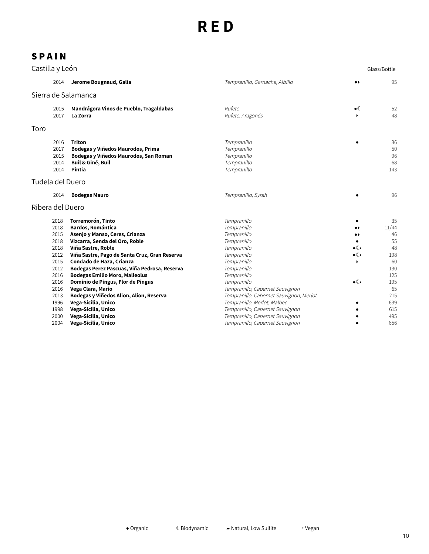| Castilla y León |                                                                                                                                                                               |                                                                         |                              | Glass/Bottle                |
|-----------------|-------------------------------------------------------------------------------------------------------------------------------------------------------------------------------|-------------------------------------------------------------------------|------------------------------|-----------------------------|
|                 | 2014<br>Jerome Bougnaud, Galia                                                                                                                                                | Tempranillo, Garnacha, Albillo                                          | $\bullet\blacktriangleright$ | 95                          |
|                 | Sierra de Salamanca                                                                                                                                                           |                                                                         |                              |                             |
|                 | Mandrágora Vinos de Pueblo, Tragaldabas<br>2015<br>2017<br>La Zorra                                                                                                           | Rufete<br>Rufete, Aragonés                                              | $\bullet$                    | 52<br>48                    |
| Toro            |                                                                                                                                                                               |                                                                         |                              |                             |
|                 |                                                                                                                                                                               |                                                                         |                              |                             |
|                 | <b>Triton</b><br>2016<br>2017<br>Bodegas y Viñedos Maurodos, Prima<br>2015<br>Bodegas y Viñedos Maurodos, San Roman<br>2014<br><b>Buil &amp; Giné, Buil</b><br>2014<br>Pintia | Tempranillo<br>Tempranillo<br>Tempranillo<br>Tempranillo<br>Tempranillo |                              | 36<br>50<br>96<br>68<br>143 |
|                 | Tudela del Duero                                                                                                                                                              |                                                                         |                              |                             |
|                 | 2014<br><b>Bodegas Mauro</b>                                                                                                                                                  | Tempranillo, Syrah                                                      |                              | 96                          |
|                 | Ribera del Duero                                                                                                                                                              |                                                                         |                              |                             |
|                 | Torremorón, Tinto<br>2018                                                                                                                                                     | Tempranillo                                                             |                              | 35                          |
|                 | <b>Bardos, Romántica</b><br>2018                                                                                                                                              | Tempranillo                                                             |                              | 11/44                       |
|                 | 2015<br>Asenjo y Manso, Ceres, Crianza                                                                                                                                        | Tempranillo                                                             |                              | 46                          |
|                 | 2018<br>Vizcarra, Senda del Oro, Roble                                                                                                                                        | Tempranillo                                                             |                              | 55                          |
|                 | 2018<br>Viña Sastre, Roble                                                                                                                                                    | Tempranillo                                                             | $\bullet$ ( )                | 48                          |
|                 | 2012<br>Viña Sastre, Pago de Santa Cruz, Gran Reserva                                                                                                                         | Tempranillo                                                             | $\bullet$                    | 198                         |
|                 | 2015<br>Condado de Haza, Crianza                                                                                                                                              | Tempranillo                                                             | ١                            | 60                          |
|                 | 2012<br>Bodegas Perez Pascuas, Viña Pedrosa, Reserva                                                                                                                          | Tempranillo                                                             |                              | 130<br>125                  |
|                 | 2016<br><b>Bodegas Emilio Moro, Malleolus</b><br>2016<br>Dominio de Pingus, Flor de Pingus                                                                                    | Tempranillo<br>Tempranillo                                              | $\bullet$ ( )                | 195                         |
|                 | Vega Clara, Mario<br>2016                                                                                                                                                     | Tempranillo, Cabernet Sauvignon                                         |                              | 65                          |
|                 | 2013<br>Bodegas y Viñedos Alion, Alion, Reserva                                                                                                                               | Tempranillo, Cabernet Sauvignon, Merlot                                 |                              | 215                         |
|                 | 1996<br>Vega-Sicilia, Unico                                                                                                                                                   | Tempranillo, Merlot, Malbec                                             |                              | 639                         |
|                 | Vega-Sicilia, Unico<br>1998                                                                                                                                                   | Tempranillo, Cabernet Sauvignon                                         |                              | 615                         |
|                 | 2000<br>Vega-Sicilia, Unico                                                                                                                                                   | Tempranillo, Cabernet Sauvignon                                         |                              | 495                         |
|                 | Vega-Sicilia, Unico<br>2004                                                                                                                                                   | Tempranillo, Cabernet Sauvignon                                         |                              | 656                         |
|                 |                                                                                                                                                                               |                                                                         |                              |                             |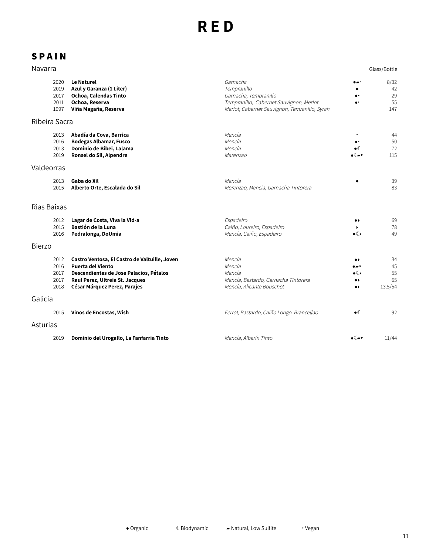| Navarra                              |                                                                                                                                                                                         |                                                                                                                                              |                                                                                             | Glass/Bottle                    |
|--------------------------------------|-----------------------------------------------------------------------------------------------------------------------------------------------------------------------------------------|----------------------------------------------------------------------------------------------------------------------------------------------|---------------------------------------------------------------------------------------------|---------------------------------|
| 2020<br>2019<br>2017<br>2011<br>1997 | <b>Le Naturel</b><br>Azul y Garanza (1 Liter)<br>Ochoa, Calendas Tinto<br>Ochoa, Reserva<br>Viña Magaña, Reserva                                                                        | Garnacha<br>Tempranillo<br>Garnacha, Tempranillo<br>Tempranillo, Cabernet Sauvignon, Merlot<br>Merlot, Cabernet Sauvignon, Temranillo, Syrah | <br>$\bullet$                                                                               | 8/32<br>42<br>29<br>55<br>147   |
| Ribeira Sacra                        |                                                                                                                                                                                         |                                                                                                                                              |                                                                                             |                                 |
| 2013<br>2016<br>2013<br>2019         | Abadía da Cova, Barrica<br><b>Bodegas Albamar, Fusco</b><br>Dominio de Bibei, Lalama<br>Ronsel do Sil, Alpendre                                                                         | Mencía<br>Mencía<br>Mencía<br>Marenzao                                                                                                       | ٠<br>$\bullet$ (<br>∙€∽                                                                     | 44<br>50<br>72<br>115           |
| Valdeorras                           |                                                                                                                                                                                         |                                                                                                                                              |                                                                                             |                                 |
| 2013<br>2015                         | Gaba do Xil<br>Alberto Orte, Escalada do Sil                                                                                                                                            | Mencía<br>Merenzao, Mencía, Garnacha Tintorera                                                                                               |                                                                                             | 39<br>83                        |
| Rìas Baixas                          |                                                                                                                                                                                         |                                                                                                                                              |                                                                                             |                                 |
| 2012<br>2015<br>2016                 | Lagar de Costa, Viva la Vid-a<br>Bastión de la Luna<br>Pedralonga, DoUmia                                                                                                               | Espadeiro<br>Caiño, Loureiro, Espadeiro<br>Mencía, Caiño, Espadeiro                                                                          | $\bullet\blacktriangleright$<br>$\bullet$                                                   | 69<br>78<br>49                  |
| <b>Bierzo</b>                        |                                                                                                                                                                                         |                                                                                                                                              |                                                                                             |                                 |
| 2012<br>2016<br>2017<br>2017<br>2018 | Castro Ventosa, El Castro de Valtuille, Joven<br><b>Puerta del Viento</b><br>Descendientes de Jose Palacios, Pétalos<br>Raul Perez, Ultreia St. Jacques<br>César Márquez Perez, Parajes | Mencía<br>Mencía<br>Mencía<br>Mencía, Bastardo, Garnacha Tintorera<br>Mencía, Alicante Bouschet                                              | $\bullet\blacktriangleright$<br>۰. ه<br>$\bullet$ ( )<br>.,<br>$\bullet\blacktriangleright$ | 34<br>45<br>55<br>65<br>13.5/54 |
| Galicia                              |                                                                                                                                                                                         |                                                                                                                                              |                                                                                             |                                 |
| 2015                                 | Vinos de Encostas, Wish                                                                                                                                                                 | Ferrol, Bastardo, Caiño Longo, Brancellao                                                                                                    | $\bullet$ (                                                                                 | 92                              |
| Asturias                             |                                                                                                                                                                                         |                                                                                                                                              |                                                                                             |                                 |
| 2019                                 | Dominio del Urogallo, La Fanfarria Tinto                                                                                                                                                | Mencía, Albarín Tinto                                                                                                                        | $\bullet$ ( $\to$ )                                                                         | 11/44                           |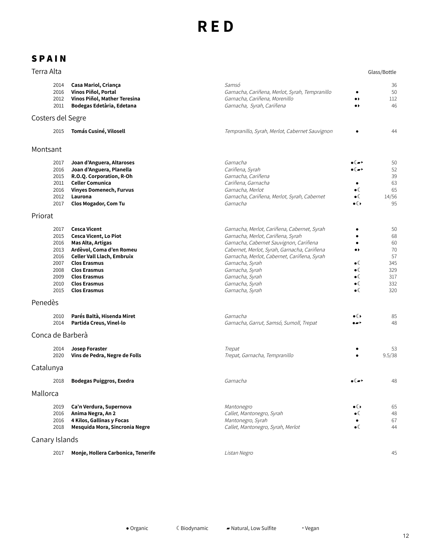#### **S P A I N**

|         | SPAIN                                                                        |                                                                                                                                                                                                                                                       |                                                                                                                                                                                                                                                                                                                         |                                                                                             |                                                               |
|---------|------------------------------------------------------------------------------|-------------------------------------------------------------------------------------------------------------------------------------------------------------------------------------------------------------------------------------------------------|-------------------------------------------------------------------------------------------------------------------------------------------------------------------------------------------------------------------------------------------------------------------------------------------------------------------------|---------------------------------------------------------------------------------------------|---------------------------------------------------------------|
|         | Terra Alta                                                                   |                                                                                                                                                                                                                                                       |                                                                                                                                                                                                                                                                                                                         |                                                                                             | Glass/Bottle                                                  |
|         | 2014<br>2016<br>2012<br>2011                                                 | Casa Mariol, Criança<br>Vinos Piñol, Portal<br>Vinos Piñol, Mather Teresina<br>Bodegas Edetària, Edetana                                                                                                                                              | <i>Samsó</i><br>Garnacha, Cariñena, Merlot, Syrah, Tempranillo<br>Garnacha, Cariñena, Morenillo<br>Garnacha, Syrah, Cariñena                                                                                                                                                                                            | $\bullet$<br>$\bullet\blacktriangleright$                                                   | 36<br>50<br>112<br>46                                         |
|         | Costers del Segre                                                            |                                                                                                                                                                                                                                                       |                                                                                                                                                                                                                                                                                                                         |                                                                                             |                                                               |
|         | 2015                                                                         | Tomás Cusiné, Vilosell                                                                                                                                                                                                                                | Tempranillo, Syrah, Merlot, Cabernet Sauvignon                                                                                                                                                                                                                                                                          |                                                                                             | 44                                                            |
|         | Montsant                                                                     |                                                                                                                                                                                                                                                       |                                                                                                                                                                                                                                                                                                                         |                                                                                             |                                                               |
|         | 2017<br>2016<br>2015<br>2011<br>2016<br>2012<br>2017                         | Joan d'Anguera, Altaroses<br>Joan d'Anguera, Planella<br>R.O.Q. Corporation, R-Oh<br><b>Celler Comunica</b><br><b>Vinyes Domenech, Furvus</b><br>Laurona<br><b>Clos Mogador, Com Tu</b>                                                               | Garnacha<br>Cariñena, Syrah<br>Garnacha, Cariñena<br>Cariñena, Garnacha<br>Garnacha, Merlot<br>Garnacha, Cariñena, Merlot, Syrah, Cabernet<br>Garnacha                                                                                                                                                                  | ∍∉≂≻<br>$\bullet$<br>$\bullet$ (<br>$\bullet$ ( )                                           | 50<br>52<br>39<br>63<br>65<br>14/56<br>95                     |
| Priorat |                                                                              |                                                                                                                                                                                                                                                       |                                                                                                                                                                                                                                                                                                                         |                                                                                             |                                                               |
|         | 2017<br>2015<br>2016<br>2013<br>2016<br>2007<br>2008<br>2009<br>2010<br>2015 | <b>Cesca Vicent</b><br>Cesca Vicent, Lo Piot<br>Mas Alta, Artigas<br>Ardèvol, Coma d'en Romeu<br><b>Celler Vall Llach, Embruix</b><br><b>Clos Erasmus</b><br><b>Clos Erasmus</b><br><b>Clos Erasmus</b><br><b>Clos Erasmus</b><br><b>Clos Erasmus</b> | Garnacha, Merlot, Cariñena, Cabernet, Syrah<br>Garnacha, Merlot, Cariñena, Syrah<br>Garnacha, Cabernet Sauvignon, Cariñena<br>Cabernet, Merlot, Syrah, Garnacha, Cariñena<br>Garnacha, Merlot, Cabernet, Cariñena, Syrah<br>Garnacha, Syrah<br>Garnacha, Syrah<br>Garnacha, Syrah<br>Garnacha, Syrah<br>Garnacha, Syrah | $\bullet\bullet$<br>$\bullet$ (<br>$\bullet$ (<br>$\bullet$ (<br>$\bullet$ (<br>$\bullet$ ( | 50<br>68<br>60<br>70<br>57<br>345<br>329<br>317<br>332<br>320 |
| Penedès |                                                                              |                                                                                                                                                                                                                                                       |                                                                                                                                                                                                                                                                                                                         |                                                                                             |                                                               |
|         | 2010<br>2014                                                                 | Parés Baltà, Hisenda Miret<br>Partida Creus, Vinel-lo                                                                                                                                                                                                 | Garnacha<br>Garnacha, Garrut, Samsó, Sumoll, Trepat                                                                                                                                                                                                                                                                     | $\bullet$ ( )<br>a =>                                                                       | 85<br>48                                                      |
|         | Conca de Barberà                                                             |                                                                                                                                                                                                                                                       |                                                                                                                                                                                                                                                                                                                         |                                                                                             |                                                               |
|         | 2014<br>2020                                                                 | <b>Josep Foraster</b><br>Vins de Pedra, Negre de Folls                                                                                                                                                                                                | Trepat<br>Trepat, Garnacha, Tempranillo                                                                                                                                                                                                                                                                                 |                                                                                             | 53<br>9.5/38                                                  |
|         | Catalunya                                                                    |                                                                                                                                                                                                                                                       |                                                                                                                                                                                                                                                                                                                         |                                                                                             |                                                               |
|         | 2018                                                                         | <b>Bodegas Puiggros, Exedra</b>                                                                                                                                                                                                                       | Garnacha                                                                                                                                                                                                                                                                                                                | ∙∝∍                                                                                         | 48                                                            |
|         | 1.4 a 11 a <i>n</i> a a                                                      |                                                                                                                                                                                                                                                       |                                                                                                                                                                                                                                                                                                                         |                                                                                             |                                                               |

#### Mallorca

| Ca'n Verdura, Supernova            | Mantonegro                        | $\bullet$ ( ) | 65 |
|------------------------------------|-----------------------------------|---------------|----|
| Anima Negra, An 2                  | Callet, Mantonegro, Syrah         | $\bullet$     | 48 |
| 4 Kilos, Gallinas y Focas          | Mantonegro, Syrah                 |               | 67 |
| Mesquida Mora, Sincronia Negre     | Callet, Mantonegro, Syrah, Merlot | $\bullet$ (   | 44 |
| Canary Islands                     |                                   |               |    |
| Monje, Hollera Carbonica, Tenerife | Listan Negro                      |               | 45 |
|                                    |                                   |               |    |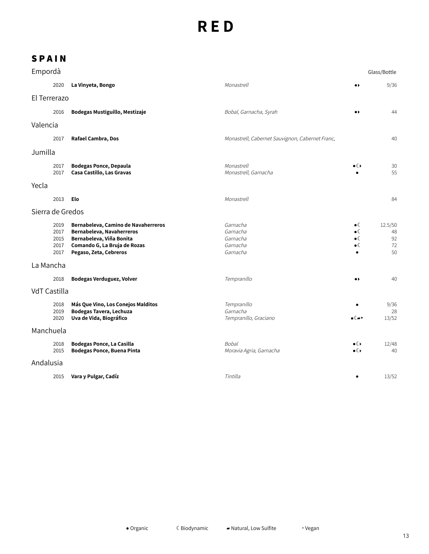| Empordà   |                                      |                                                                                                                                                        |                                                          |                                                                            | Glass/Bottle                    |
|-----------|--------------------------------------|--------------------------------------------------------------------------------------------------------------------------------------------------------|----------------------------------------------------------|----------------------------------------------------------------------------|---------------------------------|
|           | 2020                                 | La Vinyeta, Bongo                                                                                                                                      | Monastrell                                               | $\bullet$                                                                  | 9/36                            |
|           | El Terrerazo                         |                                                                                                                                                        |                                                          |                                                                            |                                 |
|           | 2016                                 | Bodegas Mustiguillo, Mestizaje                                                                                                                         | Bobal, Garnacha, Syrah                                   | $\bullet\,\flat$                                                           | 44                              |
| Valencia  |                                      |                                                                                                                                                        |                                                          |                                                                            |                                 |
|           | 2017                                 | Rafael Cambra, Dos                                                                                                                                     | Monastrell, Cabernet Sauvignon, Cabernet Franc,          |                                                                            | 40                              |
| Jumilla   |                                      |                                                                                                                                                        |                                                          |                                                                            |                                 |
|           | 2017<br>2017                         | <b>Bodegas Ponce, Depaula</b><br>Casa Castillo, Las Gravas                                                                                             | Monastrell<br>Monastrell, Garnacha                       | $\bullet$ ( )                                                              | 30<br>55                        |
| Yecla     |                                      |                                                                                                                                                        |                                                          |                                                                            |                                 |
|           | 2013                                 | Elo                                                                                                                                                    | Monastrell                                               |                                                                            | 84                              |
|           | Sierra de Gredos                     |                                                                                                                                                        |                                                          |                                                                            |                                 |
|           | 2019<br>2017<br>2015<br>2017<br>2017 | Bernabeleva, Camino de Navaherreros<br>Bernabeleva, Navaherreros<br>Bernabeleva, Viña Bonita<br>Comando G, La Bruja de Rozas<br>Pegaso, Zeta, Cebreros | Garnacha<br>Garnacha<br>Garnacha<br>Garnacha<br>Garnacha | $\bullet$ (<br>$\bullet \mathbb{C}$<br>$\bullet$ (<br>$\bullet \mathbb{C}$ | 12.5/50<br>48<br>92<br>72<br>50 |
| La Mancha |                                      |                                                                                                                                                        |                                                          |                                                                            |                                 |
|           | 2018                                 | Bodegas Verduguez, Volver                                                                                                                              | Tempranillo                                              | $\bullet\blacktriangleright$                                               | 40                              |
|           | <b>VdT Castilla</b>                  |                                                                                                                                                        |                                                          |                                                                            |                                 |
|           | 2018<br>2019<br>2020                 | Más Que Vino, Los Conejos Malditos<br>Bodegas Tavera, Lechuza<br>Uva de Vida, Biográfico                                                               | Tempranillo<br>Garnacha<br>Tempranillo, Graciano         | ∙€∽                                                                        | 9/36<br>28<br>13/52             |
| Manchuela |                                      |                                                                                                                                                        |                                                          |                                                                            |                                 |
|           | 2018<br>2015                         | <b>Bodegas Ponce, La Casilla</b><br><b>Bodegas Ponce, Buena Pinta</b>                                                                                  | Bobal<br>Moravia Agria, Garnacha                         | ∙€<br>$\bullet$ ( )                                                        | 12/48<br>40                     |
| Andalusia |                                      |                                                                                                                                                        |                                                          |                                                                            |                                 |
|           | 2015                                 | Vara y Pulgar, Cadíz                                                                                                                                   | Tintilla                                                 |                                                                            | 13/52                           |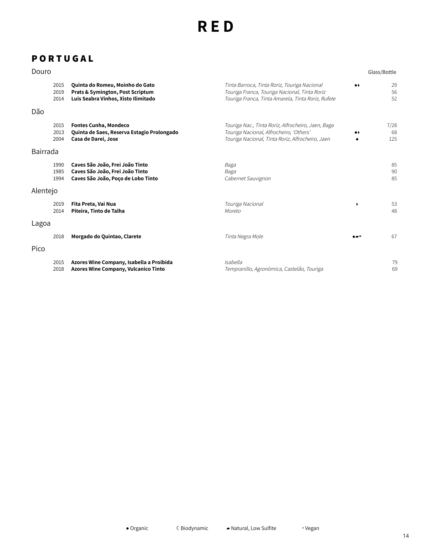## **P O R T U G A L**

2018

**Azores Wine Company, Vulcanico Tinto**

#### **Douro** Glass/Bottle Tinta Barroca, Tinta Roriz, Touriga Nacional 2015 **Quinta do Romeu, Moinho do Gato**  $\bullet$ 2019 **Prats & Symington, Post Scriptum** Touriga Franca, Touriga Nacional, Tinta Roriz 2014 **Luis Seabra Vinhos, Xisto Ilimitado** Touriga Franca, Tinta Amarela, Tinta Roriz, Rufete Dão 2015 **Fontes Cunha, Mondeco** Touriga Nac., Tinta Roriz, Alfrocheiro, Jaen, Baga 2013 **Quinta de Saes, Reserva Estagio Prolongado** Touriga Nacional, Alfrocheiro, 'Others'  $\bullet$ 2004 **Casa de Darei, Jose** Touriga Nacional, Tinta Roriz, Alfrocheiro, Jaen Bairrada 1990 **Caves São João, Frei João Tinto** Baga 1985 **Caves São João, Frei João Tinto** Baga 1994 **Caves São João, Poço de Lobo Tinto** Cabernet Sauvignon Alentejo 2019 **Fita Preta, Vai Nua** Touriga Nacional  $\overline{ }$ 2014 **Piteira, Tinto de Talha** Moreto Lagoa 2018 **Morgado do Quintao, Clarete** Tinta Negra Mole ▰‣ 67 Pico 2015 **Azores Wine Company, Isabella a Proibida** Isabella

Tempranillo, Agronòmica, Castelão, Touriga

Organic ☾ Biodynamic ▰ Natural, Low Sulfite ‣ Vegan

29 56 52

7/28 68 125

> 85 90 85

> 53 48

> 79 69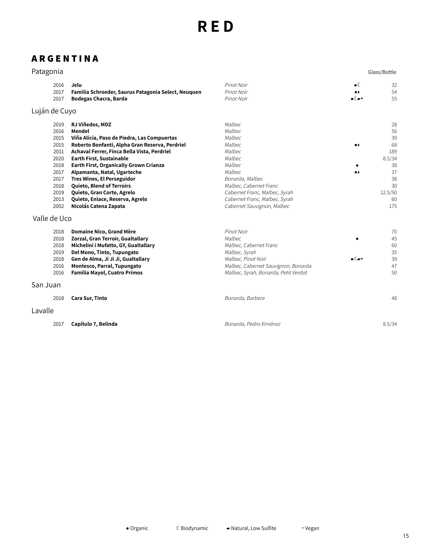### **A R G E N T I N A**

|      |                                                     |                                      |                              | Glass/Bottle |
|------|-----------------------------------------------------|--------------------------------------|------------------------------|--------------|
| 2016 | Jelu                                                | Pinot Noir                           | $\bullet$                    | 32           |
| 2017 | Familia Schroeder, Saurus Patagonia Select, Neuquen | Pinot Noir                           |                              | 54           |
| 2017 | Bodegas Chacra, Barda                               | Pinot Noir                           | $\bullet$ ( $\bullet$ )      | 55           |
|      |                                                     |                                      |                              |              |
| 2019 | RJ Viñedos, MDZ                                     | Malbec                               |                              | 28           |
| 2016 | Mendel                                              | Malbec                               |                              | 56           |
| 2015 | Viña Alicia, Paso de Piedra, Las Compuertas         | Malbec                               |                              | 39           |
| 2015 | Roberto Bonfanti, Alpha Gran Reserva, Perdriel      | Malbec                               | $\bullet\blacktriangleright$ | 68           |
| 2011 | Achaval Ferrer, Finca Bella Vista, Perdriel         | Malbec                               |                              | 189          |
| 2020 | <b>Earth First, Sustainable</b>                     | Malbec                               |                              | 8.5/34       |
| 2018 | <b>Earth First, Organically Grown Crianza</b>       | Malbec                               |                              | 38           |
| 2017 | Alpamanta, Natal, Ugarteche                         | Malbec                               |                              | 37           |
| 2017 | <b>Tres Wines, El Perseguidor</b>                   | Bonarda, Malbec                      |                              | 38           |
| 2018 | Quieto, Blend of Terroirs                           | Malbec, Cabernet Franc               |                              | 30           |
| 2019 | Quieto, Gran Corte, Agrelo                          | Cabernet Franc, Malbec, Syrah        |                              | 12.5/50      |
| 2013 | Quieto, Enlace, Reserva, Agrelo                     | Cabernet Franc, Malbec, Syrah        |                              | 60           |
| 2002 | Nicolás Catena Zapata                               | Cabernet Sauvignon, Malbec           |                              | 175          |
|      |                                                     |                                      |                              |              |
| 2018 | Domaine Nico, Grand Mère                            | Pinot Noir                           |                              | 70           |
| 2018 | Zorzal, Gran Terroir, Gualtallary                   | Malbec                               |                              | 45           |
| 2018 | Michelini i Mufatto, GY, Gualtallary                | Malbec, Cabernet Franc               |                              | 60           |
| 2019 | Del Mono, Tinto, Tupungato                          | Malbec, Syrah                        |                              | 35           |
| 2018 | Gen de Alma, Ji Ji Ji, Gualtallary                  | Malbec, Pinot Noir                   | $\bullet$ ( $\bullet$ )      | 39           |
| 2016 | Montesco, Parral, Tupungato                         | Malbec, Cabernet Sauvignon, Bonarda  |                              | 47           |
| 2016 | <b>Familia Mayol, Cuatro Primos</b>                 | Malbec, Syrah, Bonarda, Petit Verdot |                              | 50           |
|      |                                                     |                                      |                              |              |
| 2018 | <b>Cara Sur, Tinto</b>                              | Bonarda, Barbera                     |                              | 48           |
|      | Patagonia<br>San Juan                               | Luján de Cuyo<br>Valle de Uco        |                              |              |

#### Lavalle

| 2017 Capítulo 7, Belinda | Bonarda, Pedro Ximénez | 8.5/34 |
|--------------------------|------------------------|--------|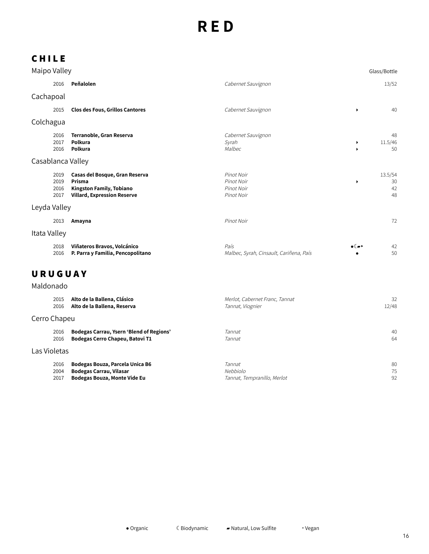## **C H I L E**

| Maipo Valley                 |                                                                                                            |                                                      |        | Glass/Bottle              |
|------------------------------|------------------------------------------------------------------------------------------------------------|------------------------------------------------------|--------|---------------------------|
| 2016                         | Peñalolen                                                                                                  | Cabernet Sauvignon                                   |        | 13/52                     |
| Cachapoal                    |                                                                                                            |                                                      |        |                           |
| 2015                         | <b>Clos des Fous, Grillos Cantores</b>                                                                     | Cabernet Sauvignon                                   | ٠      | 40                        |
| Colchagua                    |                                                                                                            |                                                      |        |                           |
| 2016<br>2017<br>2016         | Terranoble, Gran Reserva<br>Polkura<br>Polkura                                                             | Cabernet Sauvignon<br>Syrah<br>Malbec                | ▶<br>ь | 48<br>11.5/46<br>50       |
| Casablanca Valley            |                                                                                                            |                                                      |        |                           |
| 2019<br>2019<br>2016<br>2017 | Casas del Bosque, Gran Reserva<br>Prisma<br>Kingston Family, Tobiano<br><b>Villard, Expression Reserve</b> | Pinot Noir<br>Pinot Noir<br>Pinot Noir<br>Pinot Noir | ١      | 13.5/54<br>30<br>42<br>48 |
| Leyda Valley                 |                                                                                                            |                                                      |        |                           |
| 2013                         | Amayna                                                                                                     | Pinot Noir                                           |        | 72                        |
| Itata Valley                 |                                                                                                            |                                                      |        |                           |
| 2018<br>2016                 | Viñateros Bravos, Volcánico<br>P. Parra y Familia, Pencopolitano                                           | País<br>Malbec, Syrah, Cinsault, Cariñena, País      | ∙€∞    | 42<br>50                  |
| URUGUAY<br>Maldonado         |                                                                                                            |                                                      |        |                           |

|              | 2015 | Alto de la Ballena, Clásico              | Merlot, Cabernet Franc, Tannat | 32    |
|--------------|------|------------------------------------------|--------------------------------|-------|
|              | 2016 | Alto de la Ballena, Reserva              | Tannat, Viognier               | 12/48 |
| Cerro Chapeu |      |                                          |                                |       |
|              | 2016 | Bodegas Carrau, Ysern 'Blend of Regions' | <i>Tannat</i>                  | 40    |
|              | 2016 | Bodegas Cerro Chapeu, Batovi T1          | <i>Tannat</i>                  | 64    |
| Las Violetas |      |                                          |                                |       |
|              | 2016 | Bodegas Bouza, Parcela Unica B6          | <b>Tannat</b>                  | 80    |
|              | 2004 | <b>Bodegas Carrau, Vilasar</b>           | Nebbiolo                       | 75    |
|              | 2017 | <b>Bodegas Bouza, Monte Vide Eu</b>      | Tannat, Tempranillo, Merlot    | 92    |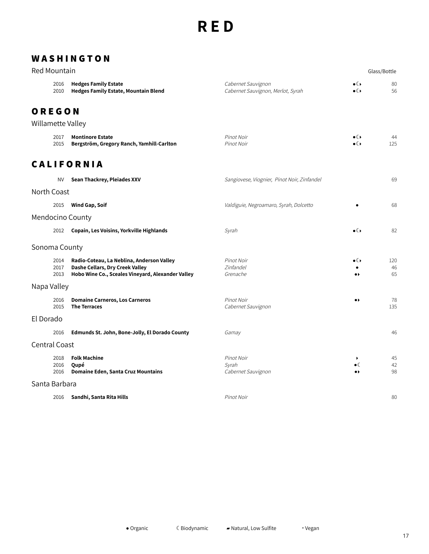#### **W A S H I N G T O N**

| Red Mountain      |                      |                                                                                                                                   |                                                         |                                               | Glass/Bottle    |
|-------------------|----------------------|-----------------------------------------------------------------------------------------------------------------------------------|---------------------------------------------------------|-----------------------------------------------|-----------------|
|                   | 2016<br>2010         | <b>Hedges Family Estate</b><br><b>Hedges Family Estate, Mountain Blend</b>                                                        | Cabernet Sauvignon<br>Cabernet Sauvignon, Merlot, Syrah | $\bullet$ ( )<br>$\bullet$                    | 80<br>56        |
| OREGON            |                      |                                                                                                                                   |                                                         |                                               |                 |
| Willamette Valley |                      |                                                                                                                                   |                                                         |                                               |                 |
|                   | 2017<br>2015         | <b>Montinore Estate</b><br>Bergström, Gregory Ranch, Yamhill-Carlton                                                              | Pinot Noir<br>Pinot Noir                                | $\bullet$ ( )<br>$\bullet$ ( )                | 44<br>125       |
|                   |                      | <b>CALIFORNIA</b>                                                                                                                 |                                                         |                                               |                 |
|                   | <b>NV</b>            | Sean Thackrey, Pleiades XXV                                                                                                       | Sangiovese, Viognier, Pinot Noir, Zinfandel             |                                               | 69              |
| North Coast       |                      |                                                                                                                                   |                                                         |                                               |                 |
|                   | 2015                 | <b>Wind Gap, Soif</b>                                                                                                             | Valdiguie, Negroamaro, Syrah, Dolcetto                  |                                               | 68              |
|                   |                      | Mendocino County                                                                                                                  |                                                         |                                               |                 |
|                   | 2012                 | Copain, Les Voisins, Yorkville Highlands                                                                                          | Syrah                                                   | $\bullet$ ( )                                 | 82              |
| Sonoma County     |                      |                                                                                                                                   |                                                         |                                               |                 |
|                   | 2014<br>2017<br>2013 | Radio-Coteau, La Neblina, Anderson Valley<br>Dashe Cellars, Dry Creek Valley<br>Hobo Wine Co., Sceales Vineyard, Alexander Valley | Pinot Noir<br>Zinfandel<br>Grenache                     | $\bullet$ ( )<br>$\bullet\blacktriangleright$ | 120<br>46<br>65 |
| Napa Valley       |                      |                                                                                                                                   |                                                         |                                               |                 |
|                   | 2016<br>2015         | <b>Domaine Carneros, Los Carneros</b><br><b>The Terraces</b>                                                                      | Pinot Noir<br>Cabernet Sauvignon                        | $\bullet\blacktriangleright$                  | 78<br>135       |
| El Dorado         |                      |                                                                                                                                   |                                                         |                                               |                 |
|                   | 2016                 | Edmunds St. John, Bone-Jolly, El Dorado County                                                                                    | Gamay                                                   |                                               | 46              |
| Central Coast     |                      |                                                                                                                                   |                                                         |                                               |                 |
|                   | 2018<br>2016<br>2016 | <b>Folk Machine</b><br>Qupé<br><b>Domaine Eden, Santa Cruz Mountains</b>                                                          | Pinot Noir<br>Syrah<br>Cabernet Sauvignon               | ٠<br>$\bullet$<br>$\bullet\star$              | 45<br>42<br>98  |
| Santa Barbara     |                      |                                                                                                                                   |                                                         |                                               |                 |
|                   | 2016                 | Sandhi, Santa Rita Hills                                                                                                          | Pinot Noir                                              |                                               | 80              |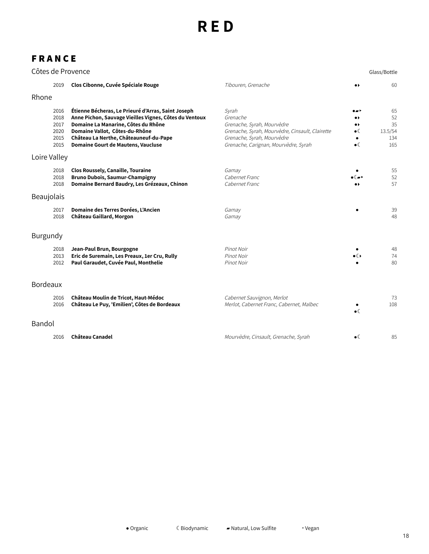## **F R A N C E**

|                 |                                              | Côtes de Provence                                                                                                                                                                                                                                                            |                                                                                                                                                                          |                                                                             | Glass/Bottle                            |
|-----------------|----------------------------------------------|------------------------------------------------------------------------------------------------------------------------------------------------------------------------------------------------------------------------------------------------------------------------------|--------------------------------------------------------------------------------------------------------------------------------------------------------------------------|-----------------------------------------------------------------------------|-----------------------------------------|
|                 | 2019                                         | Clos Cibonne, Cuvée Spéciale Rouge                                                                                                                                                                                                                                           | Tibouren, Grenache                                                                                                                                                       | $\bullet\,\flat$                                                            | 60                                      |
| Rhone           |                                              |                                                                                                                                                                                                                                                                              |                                                                                                                                                                          |                                                                             |                                         |
|                 | 2016<br>2018<br>2017<br>2020<br>2015<br>2015 | Étienne Bécheras, Le Prieuré d'Arras, Saint Joseph<br>Anne Pichon, Sauvage Vieilles Vignes, Côtes du Ventoux<br>Domaine La Manarine, Côtes du Rhône<br>Domaine Vallot, Côtes-du-Rhône<br>Château La Nerthe, Châteauneuf-du-Pape<br><b>Domaine Gourt de Mautens, Vaucluse</b> | Svrah<br>Grenache<br>Grenache, Syrah, Mourvèdre<br>Grenache, Syrah, Mourvèdre, Cinsault, Clairette<br>Grenache, Syrah, Mourvèdre<br>Grenache, Carignan, Mourvèdre, Syrah | <br>$\bullet\blacktriangleright$<br>$\bullet$ (<br>$\bullet$<br>$\bullet$ ( | 65<br>52<br>35<br>13.5/54<br>134<br>165 |
| Loire Valley    |                                              |                                                                                                                                                                                                                                                                              |                                                                                                                                                                          |                                                                             |                                         |
|                 | 2018<br>2018<br>2018                         | <b>Clos Roussely, Canaille, Touraine</b><br><b>Bruno Dubois, Saumur-Champigny</b><br>Domaine Bernard Baudry, Les Grézeaux, Chinon                                                                                                                                            | Gamay<br>Cabernet Franc<br>Cabernet Franc                                                                                                                                |                                                                             | 55<br>52<br>57                          |
| Beaujolais      |                                              |                                                                                                                                                                                                                                                                              |                                                                                                                                                                          |                                                                             |                                         |
|                 | 2017<br>2018                                 | Domaine des Terres Dorées, L'Ancien<br>Château Gaillard, Morgon                                                                                                                                                                                                              | Gamay<br>Gamay                                                                                                                                                           |                                                                             | 39<br>48                                |
| Burgundy        |                                              |                                                                                                                                                                                                                                                                              |                                                                                                                                                                          |                                                                             |                                         |
|                 | 2018<br>2013<br>2012                         | Jean-Paul Brun, Bourgogne<br>Eric de Suremain, Les Preaux, 1er Cru, Rully<br>Paul Garaudet, Cuvée Paul, Monthelie                                                                                                                                                            | Pinot Noir<br>Pinot Noir<br>Pinot Noir                                                                                                                                   | $\bullet$ ( )                                                               | 48<br>74<br>80                          |
| <b>Bordeaux</b> |                                              |                                                                                                                                                                                                                                                                              |                                                                                                                                                                          |                                                                             |                                         |
|                 | 2016<br>2016                                 | Château Moulin de Tricot, Haut-Médoc<br>Château Le Puy, 'Emilien', Côtes de Bordeaux                                                                                                                                                                                         | Cabernet Sauvignon, Merlot<br>Merlot, Cabernet Franc, Cabernet, Malbec                                                                                                   | $\bullet$                                                                   | 73<br>108                               |
| Bandol          |                                              |                                                                                                                                                                                                                                                                              |                                                                                                                                                                          |                                                                             |                                         |
|                 | 2016                                         | <b>Château Canadel</b>                                                                                                                                                                                                                                                       | Mourvèdre, Cinsault, Grenache, Syrah                                                                                                                                     | $\bullet$                                                                   | 85                                      |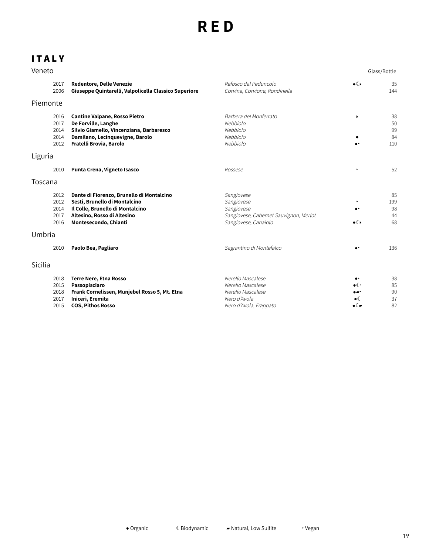## **I T A L Y**

| Veneto                               |                                                                                                                                                                        |                                                                                                          |                                                                                 | Glass/Bottle                |
|--------------------------------------|------------------------------------------------------------------------------------------------------------------------------------------------------------------------|----------------------------------------------------------------------------------------------------------|---------------------------------------------------------------------------------|-----------------------------|
| 2017<br>2006                         | <b>Redentore, Delle Venezie</b><br>Giuseppe Quintarelli, Valpolicella Classico Superiore                                                                               | Refosco dal Peduncolo<br>Corvina, Corvione, Rondinella                                                   | $\bullet$                                                                       | 35<br>144                   |
| Piemonte                             |                                                                                                                                                                        |                                                                                                          |                                                                                 |                             |
| 2016<br>2017<br>2014<br>2014<br>2012 | <b>Cantine Valpane, Rosso Pietro</b><br>De Forville, Langhe<br>Silvio Giamello, Vincenziana, Barbaresco<br>Damilano, Lecinquevigne, Barolo<br>Fratelli Brovia, Barolo  | Barbera del Monferrato<br>Nebbiolo<br>Nebbiolo<br>Nebbiolo<br>Nebbiolo                                   | $\blacktriangleright$<br>$\bullet$                                              | 38<br>50<br>99<br>84<br>110 |
| Liguria                              |                                                                                                                                                                        |                                                                                                          |                                                                                 |                             |
| 2010                                 | Punta Crena, Vigneto Isasco                                                                                                                                            | Rossese                                                                                                  | $\ddot{\phantom{1}}$                                                            | 52                          |
| Toscana                              |                                                                                                                                                                        |                                                                                                          |                                                                                 |                             |
| 2012<br>2012<br>2014<br>2017<br>2016 | Dante di Fiorenzo, Brunello di Montalcino<br>Sesti, Brunello di Montalcino<br>Il Colle, Brunello di Montalcino<br>Altesino, Rosso di Altesino<br>Montesecondo, Chianti | Sangiovese<br>Sangiovese<br>Sangiovese<br>Sangiovese, Cabernet Sauvignon, Merlot<br>Sangiovese, Canaiolo | $\bullet$<br>$\bullet$                                                          | 85<br>199<br>98<br>44<br>68 |
| Umbria                               |                                                                                                                                                                        |                                                                                                          |                                                                                 |                             |
| 2010                                 | Paolo Bea, Pagliaro                                                                                                                                                    | Sagrantino di Montefalco                                                                                 | $\bullet$                                                                       | 136                         |
| Sicilia                              |                                                                                                                                                                        |                                                                                                          |                                                                                 |                             |
| 2018<br>2015<br>2018<br>2017<br>2015 | <b>Terre Nere, Etna Rosso</b><br>Passopisciaro<br>Frank Cornelissen, Munjebel Rosso 5, Mt. Etna<br>Iniceri, Eremita<br><b>COS, Pithos Rosso</b>                        | Nerello Mascalese<br>Nerello Mascalese<br>Nerello Mascalese<br>Nero d'Avola<br>Nero d'Avola, Frappato    | $\bullet\texttt{'}$<br>$\bullet$<br>۰.۰<br>$\bullet$ (<br>$\bullet$ ( $\bullet$ | 38<br>85<br>90<br>37<br>82  |